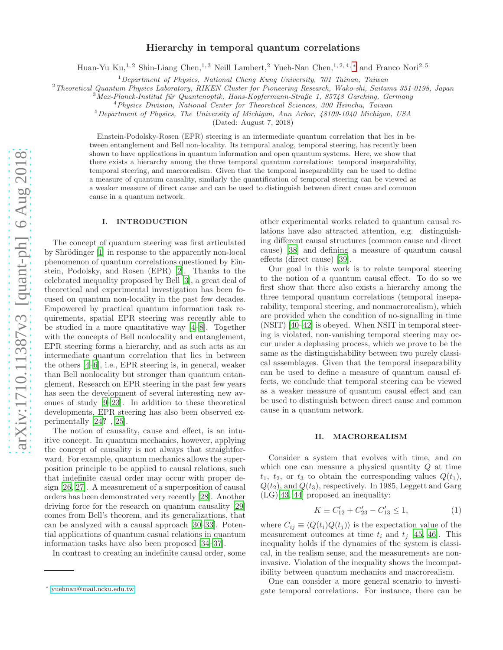# Hierarchy in temporal quantum correlations

Huan-Yu Ku,<sup>1, 2</sup> Shin-Liang Chen,<sup>1, 3</sup> Neill Lambert,<sup>2</sup> Yueh-Nan Chen,<sup>1, 2, 4, \*</sup> and Franco Nori<sup>2, 5</sup>

 $1$ Department of Physics, National Cheng Kung University,  $701$  Tainan, Taiwan

<sup>2</sup>Theoretical Quantum Physics Laboratory, RIKEN Cluster for Pioneering Research, Wako-shi, Saitama 351-0198, Japan

 $3$ Max-Planck-Institut für Quantenoptik, Hans-Kopfermann-Straße 1, 85748 Garching, Germany

<sup>4</sup>Physics Division, National Center for Theoretical Sciences, 300 Hsinchu, Taiwan

 $5$ Department of Physics, The University of Michigan, Ann Arbor,  $48109-1040$  Michigan, USA

(Dated: August 7, 2018)

Einstein-Podolsky-Rosen (EPR) steering is an intermediate quantum correlation that lies in between entanglement and Bell non-locality. Its temporal analog, temporal steering, has recently been shown to have applications in quantum information and open quantum systems. Here, we show that there exists a hierarchy among the three temporal quantum correlations: temporal inseparability, temporal steering, and macrorealism. Given that the temporal inseparability can be used to define a measure of quantum causality, similarly the quantification of temporal steering can be viewed as a weaker measure of direct cause and can be used to distinguish between direct cause and common cause in a quantum network.

# I. INTRODUCTION

The concept of quantum steering was first articulated by Shrödinger [\[1](#page-7-0)] in response to the apparently non-local phenomenon of quantum correlations questioned by Einstein, Podolsky, and Rosen (EPR) [\[2](#page-7-1)]. Thanks to the celebrated inequality proposed by Bell [\[3\]](#page-7-2), a great deal of theoretical and experimental investigation has been focused on quantum non-locality in the past few decades. Empowered by practical quantum information task requirements, spatial EPR steering was recently able to be studied in a more quantitative way [\[4](#page-7-3)[–8\]](#page-7-4). Together with the concepts of Bell nonlocality and entanglement, EPR steering forms a hierarchy, and as such acts as an intermediate quantum correlation that lies in between the others [\[4](#page-7-3)[–6\]](#page-7-5), i.e., EPR steering is, in general, weaker than Bell nonlocality but stronger than quantum entanglement. Research on EPR steering in the past few years has seen the development of several interesting new avenues of study [\[9](#page-7-6)[–23\]](#page-8-0). In addition to these theoretical developments, EPR steering has also been observed experimentally [\[24](#page-8-1)? , [25\]](#page-8-2).

The notion of causality, cause and effect, is an intuitive concept. In quantum mechanics, however, applying the concept of causality is not always that straightforward. For example, quantum mechanics allows the superposition principle to be applied to causal relations, such that indefinite casual order may occur with proper design [\[26,](#page-8-3) [27](#page-8-4)]. A measurement of a superposition of causal orders has been demonstrated very recently [\[28\]](#page-8-5). Another driving force for the research on quantum causality [\[29](#page-8-6)] comes from Bell's theorem, and its generalizations, that can be analyzed with a causal approach [\[30](#page-8-7)[–33\]](#page-8-8). Potential applications of quantum casual relations in quantum information tasks have also been proposed [\[34](#page-8-9)[–37\]](#page-8-10).

In contrast to creating an indefinite causal order, some

other experimental works related to quantum causal relations have also attracted attention, e.g. distinguishing different causal structures (common cause and direct cause) [\[38\]](#page-8-11) and defining a measure of quantum causal effects (direct cause) [\[39\]](#page-8-12).

Our goal in this work is to relate temporal steering to the notion of a quantum causal effect. To do so we first show that there also exists a hierarchy among the three temporal quantum correlations (temporal inseparability, temporal steering, and nonmacrorealism), which are provided when the condition of no-signalling in time (NSIT) [\[40](#page-8-13)[–42\]](#page-8-14) is obeyed. When NSIT in temporal steering is violated, non-vanishing temporal steering may occur under a dephasing process, which we prove to be the same as the distinguishability between two purely classical assemblages. Given that the temporal inseparability can be used to define a measure of quantum causal effects, we conclude that temporal steering can be viewed as a weaker measure of quantum causal effect and can be used to distinguish between direct cause and common cause in a quantum network.

### II. MACROREALISM

Consider a system that evolves with time, and on which one can measure a physical quantity  $Q$  at time  $t_1$ ,  $t_2$ , or  $t_3$  to obtain the corresponding values  $Q(t_1)$ ,  $Q(t_2)$ , and  $Q(t_3)$ , respectively. In 1985, Leggett and Garg (LG)[\[43,](#page-8-15) [44\]](#page-8-16) proposed an inequality:

$$
K \equiv C'_{12} + C'_{23} - C'_{13} \le 1,\tag{1}
$$

where  $C_{ij} \equiv \langle Q(t_i)Q(t_j) \rangle$  is the expectation value of the measurement outcomes at time  $t_i$  and  $t_j$  [\[45](#page-8-17), [46\]](#page-8-18). This inequality holds if the dynamics of the system is classical, in the realism sense, and the measurements are noninvasive. Violation of the inequality shows the incompatibility between quantum mechanics and macrorealism.

One can consider a more general scenario to investigate temporal correlations. For instance, there can be

<span id="page-0-0"></span><sup>∗</sup> [yuehnan@mail.ncku.edu.tw](mailto:yuehnan@mail.ncku.edu.tw)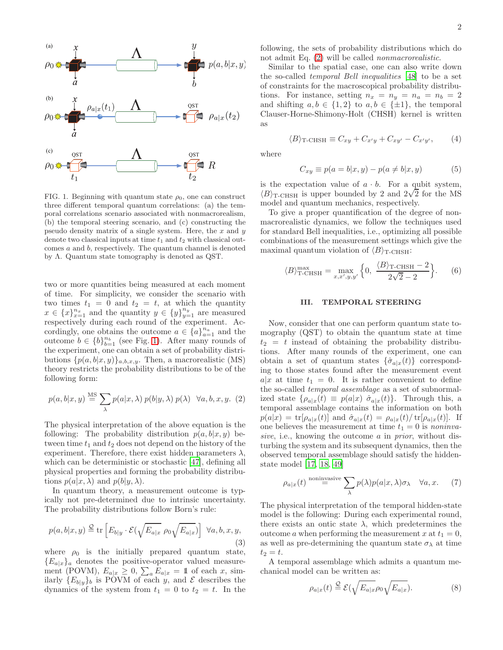

<span id="page-1-0"></span>FIG. 1. Beginning with quantum state  $\rho_0$ , one can construct three different temporal quantum correlations: (a) the temporal correlations scenario associated with nonmacrorealism, (b) the temporal steering scenario, and (c) constructing the pseudo density matrix of a single system. Here, the  $x$  and  $y$ denote two classical inputs at time  $t_1$  and  $t_2$  with classical outcomes a and b, respectively. The quantum channel is denoted by Λ. Quantum state tomography is denoted as QST.

two or more quantities being measured at each moment of time. For simplicity, we consider the scenario with two times  $t_1 = 0$  and  $t_2 = t$ , at which the quantity  $x \in \{x\}_{x=1}^{n_x}$  and the quantity  $y \in \{y\}_{y=1}^{n_y}$  are measured respectively during each round of the experiment. Accordingly, one obtains the outcome  $a \in \{a\}_{a=1}^{n_a}$  and the outcome  $b \in \{b\}_{b=1}^{n_b}$  (see Fig. [1\)](#page-1-0). After many rounds of the experiment, one can obtain a set of probability distributions  $\{p(a, b|x, y)\}_{a, b, x, y}$ . Then, a macrorealistic (MS) theory restricts the probability distributions to be of the following form:

<span id="page-1-1"></span>
$$
p(a, b|x, y) \stackrel{\text{MS}}{=} \sum_{\lambda} p(a|x, \lambda) p(b|y, \lambda) p(\lambda) \quad \forall a, b, x, y. \tag{2}
$$

The physical interpretation of the above equation is the following: The probability distribution  $p(a, b|x, y)$  between time  $t_1$  and  $t_2$  does not depend on the history of the experiment. Therefore, there exist hidden parameters  $\lambda$ , which can be deterministic or stochastic [\[47\]](#page-8-19), defining all physical properties and forming the probability distributions  $p(a|x, \lambda)$  and  $p(b|y, \lambda)$ .

In quantum theory, a measurement outcome is typically not pre-determined due to intrinsic uncertainty. The probability distributions follow Born's rule:

$$
p(a,b|x,y) \stackrel{\mathcal{Q}}{=} \text{tr}\left[E_{b|y} \cdot \mathcal{E}(\sqrt{E_{a|x}} \rho_0 \sqrt{E_{a|x}})\right] \ \forall a,b,x,y,
$$
\n(3)

where  $\rho_0$  is the initially prepared quantum state,  ${E_a|_x}_a$  denotes the positive-operator valued measurement (POVM),  $E_{a|x} \geq 0$ ,  $\sum_{a} E_{a|x} = 11$  of each x, similarly  ${E_{b|y}}_b$  is POVM of each y, and  $\mathcal E$  describes the dynamics of the system from  $t_1 = 0$  to  $t_2 = t$ . In the following, the sets of probability distributions which do not admit Eq. [\(2\)](#page-1-1) will be called nonmacrorealistic.

Similar to the spatial case, one can also write down the so-called temporal Bell inequalities [\[48\]](#page-9-0) to be a set of constraints for the macroscopical probability distributions. For instance, setting  $n_x = n_y = n_a = n_b = 2$ and shifting  $a, b \in \{1, 2\}$  to  $a, b \in \{\pm 1\}$ , the temporal Clauser-Horne-Shimony-Holt (CHSH) kernel is written as

$$
\langle B \rangle_{\text{T-CHSH}} \equiv C_{xy} + C_{x'y} + C_{xy'} - C_{x'y'}, \qquad (4)
$$

where

$$
C_{xy} \equiv p(a = b|x, y) - p(a \neq b|x, y)
$$
 (5)

is the expectation value of  $a \cdot b$ . For a qubit system,  $(B)$ <sub>T-CHSH</sub> is upper bounded by 2 and  $2\sqrt{2}$  for the MS model and quantum mechanics, respectively.

To give a proper quantification of the degree of nonmacrorealistic dynamics, we follow the techniques used for standard Bell inequalities, i.e., optimizing all possible combinations of the measurement settings which give the maximal quantum violation of  $\langle B \rangle_{\text{T-CHSH}}$ :

$$
\langle B \rangle_{\text{T-CHSH}}^{\text{max}} = \max_{x, x', y, y'} \left\{ 0, \frac{\langle B \rangle_{\text{T-CHSH}} - 2}{2\sqrt{2} - 2} \right\}. \tag{6}
$$

#### III. TEMPORAL STEERING

Now, consider that one can perform quantum state tomography (QST) to obtain the quantum state at time  $t_2 = t$  instead of obtaining the probability distributions. After many rounds of the experiment, one can obtain a set of quantum states  $\{\hat{\sigma}_{a|x}(t)\}\)$  corresponding to those states found after the measurement event  $a|x|$  at time  $t_1 = 0$ . It is rather convenient to define the so-called temporal assemblage as a set of subnormalized state  $\{\rho_{a|x}(t) \equiv p(a|x) \hat{\sigma}_{a|x}(t)\}\$ . Through this, a temporal assemblage contains the information on both  $p(a|x) = \text{tr}[\rho_{a|x}(t)]$  and  $\hat{\sigma}_{a|x}(t) = \rho_{a|x}(t)/\text{tr}[\rho_{a|x}(t)]$ . If one believes the measurement at time  $t_1 = 0$  is noninvasive, i.e., knowing the outcome a in prior, without disturbing the system and its subsequent dynamics, then the observed temporal assemblage should satisfy the hiddenstate model [\[17,](#page-8-20) [18,](#page-8-21) [49\]](#page-9-1)

<span id="page-1-2"></span>
$$
\rho_{a|x}(t) \stackrel{\text{noninvasive}}{=} \sum_{\lambda} p(\lambda) p(a|x,\lambda) \sigma_{\lambda} \quad \forall a, x. \tag{7}
$$

The physical interpretation of the temporal hidden-state model is the following: During each experimental round, there exists an ontic state  $\lambda$ , which predetermines the outcome a when performing the measurement x at  $t_1 = 0$ , as well as pre-determining the quantum state  $\sigma_{\lambda}$  at time  $t_2 = t.$ 

A temporal assemblage which admits a quantum mechanical model can be written as:

$$
\rho_{a|x}(t) \stackrel{\mathcal{Q}}{=} \mathcal{E}(\sqrt{E_{a|x}} \rho_0 \sqrt{E_{a|x}}). \tag{8}
$$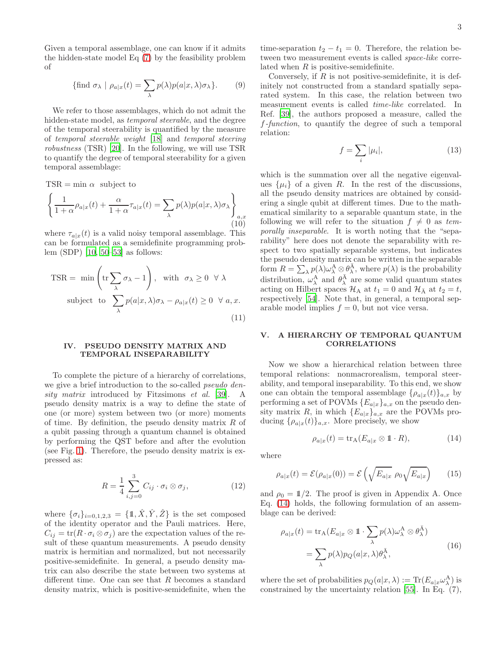Given a temporal assemblage, one can know if it admits the hidden-state model Eq [\(7\)](#page-1-2) by the feasibility problem of

$$
\{\text{find } \sigma_{\lambda} \mid \rho_{a|x}(t) = \sum_{\lambda} p(\lambda) p(a|x, \lambda) \sigma_{\lambda} \}.
$$
 (9)

We refer to those assemblages, which do not admit the hidden-state model, as *temporal steerable*, and the degree of the temporal steerability is quantified by the measure of temporal steerable weight [\[18\]](#page-8-21) and temporal steering robustness (TSR) [\[20\]](#page-8-22). In the following, we will use TSR to quantify the degree of temporal steerability for a given temporal assemblage:

 $TSR = min \alpha$  subject to

$$
\left\{\frac{1}{1+\alpha}\rho_{a|x}(t) + \frac{\alpha}{1+\alpha}\tau_{a|x}(t) = \sum_{\lambda} p(\lambda)p(a|x,\lambda)\sigma_{\lambda}\right\}_{a,x}
$$
(10)

where  $\tau_{a|x}(t)$  is a valid noisy temporal assemblage. This can be formulated as a semidefinite programming problem (SDP) [\[10,](#page-7-7) [50](#page-9-2)[–53\]](#page-9-3) as follows:

$$
\text{TSR} = \min \left( \text{tr} \sum_{\lambda} \sigma_{\lambda} - 1 \right), \text{ with } \sigma_{\lambda} \ge 0 \ \forall \lambda
$$
  
subject to 
$$
\sum_{\lambda} p(a|x, \lambda) \sigma_{\lambda} - \rho_{a|x}(t) \ge 0 \ \forall a, x.
$$
 (11)

#### IV. PSEUDO DENSITY MATRIX AND TEMPORAL INSEPARABILITY

To complete the picture of a hierarchy of correlations, we give a brief introduction to the so-called *pseudo den*-sity matrix introduced by Fitzsimons et al. [\[39\]](#page-8-12). A pseudo density matrix is a way to define the state of one (or more) system between two (or more) moments of time. By definition, the pseudo density matrix  $R$  of a qubit passing through a quantum channel is obtained by performing the QST before and after the evolution (see Fig. [1\)](#page-1-0). Therefore, the pseudo density matrix is expressed as:

$$
R = \frac{1}{4} \sum_{i,j=0}^{3} C_{ij} \cdot \sigma_i \otimes \sigma_j, \qquad (12)
$$

where  $\{\sigma_i\}_{i=0,1,2,3} = \{\mathbb{1}, \hat{X}, \hat{Y}, \hat{Z}\}\$ is the set composed of the identity operator and the Pauli matrices. Here,  $C_{ij} = \text{tr}(R \cdot \sigma_i \otimes \sigma_j)$  are the expectation values of the result of these quantum measurements. A pseudo density matrix is hermitian and normalized, but not necessarily positive-semidefinite. In general, a pseudo density matrix can also describe the state between two systems at different time. One can see that R becomes a standard density matrix, which is positive-semidefinite, when the

time-separation  $t_2 - t_1 = 0$ . Therefore, the relation between two measurement events is called *space-like* correlated when  $R$  is positive-semidefinite.

Conversely, if  $R$  is not positive-semidefinite, it is definitely not constructed from a standard spatially separated system. In this case, the relation between two measurement events is called time-like correlated. In Ref. [\[39\]](#page-8-12), the authors proposed a measure, called the f-function, to quantify the degree of such a temporal relation:

$$
f = \sum_{i} |\mu_i|,\tag{13}
$$

which is the summation over all the negative eigenvalues  $\{\mu_i\}$  of a given R. In the rest of the discussions, all the pseudo density matrices are obtained by considering a single qubit at different times. Due to the mathematical similarity to a separable quantum state, in the following we will refer to the situation  $f \neq 0$  as temporally inseparable. It is worth noting that the "separability" here does not denote the separability with respect to two spatially separable systems, but indicates the pseudo density matrix can be written in the separable form  $R = \sum_{\lambda} p(\lambda) \omega_{\lambda}^{\mathbf{A}} \otimes \theta_{\lambda}^{\mathbf{A}},$  where  $p(\lambda)$  is the probability distribution,  $\omega_{\lambda}^{\overrightarrow{\mathbf{A}}}$  and  $\theta_{\overrightarrow{\lambda}}^{\overrightarrow{\mathbf{A}}}$  are some valid quantum states acting on Hilbert spaces  $\mathcal{H}_A$  at  $t_1 = 0$  and  $\mathcal{H}_{\bar{A}}$  at  $t_2 = t$ , respectively [\[54](#page-9-4)]. Note that, in general, a temporal separable model implies  $f = 0$ , but not vice versa.

### V. A HIERARCHY OF TEMPORAL QUANTUM CORRELATIONS

Now we show a hierarchical relation between three temporal relations: nonmacrorealism, temporal steerability, and temporal inseparability. To this end, we show one can obtain the temporal assemblage  $\{\rho_{a|x}(t)\}_{a,x}$  by performing a set of POVMs  $\{E_{a|x}\}_{a,x}$  on the pseudo density matrix R, in which  ${E_{a|x}}_{a,x}$  are the POVMs producing  $\{\rho_{a|x}(t)\}_{a,x}$ . More precisely, we show

<span id="page-2-0"></span>
$$
\rho_{a|x}(t) = \text{tr}_{A}(E_{a|x} \otimes \mathbb{1} \cdot R), \tag{14}
$$

where

$$
\rho_{a|x}(t) = \mathcal{E}(\rho_{a|x}(0)) = \mathcal{E}\left(\sqrt{E_{a|x}} \; \rho_0 \sqrt{E_{a|x}}\right) \qquad (15)
$$

and  $\rho_0 = 1/2$ . The proof is given in Appendix A. Once Eq. [\(14\)](#page-2-0) holds, the following formulation of an assemblage can be derived:

$$
\rho_{a|x}(t) = \text{tr}_{A}(E_{a|x} \otimes 1 \cdot \sum_{\lambda} p(\lambda)\omega_{\lambda}^{A} \otimes \theta_{\lambda}^{\overline{A}})
$$

$$
= \sum_{\lambda} p(\lambda)p_{Q}(a|x,\lambda)\theta_{\lambda}^{\overline{A}}, \qquad (16)
$$

where the set of probabilities  $p_Q(a|x,\lambda) := \text{Tr}(E_{a|x} \omega_\lambda^A)$  is constrained by the uncertainty relation [\[55\]](#page-9-5). In Eq. (7),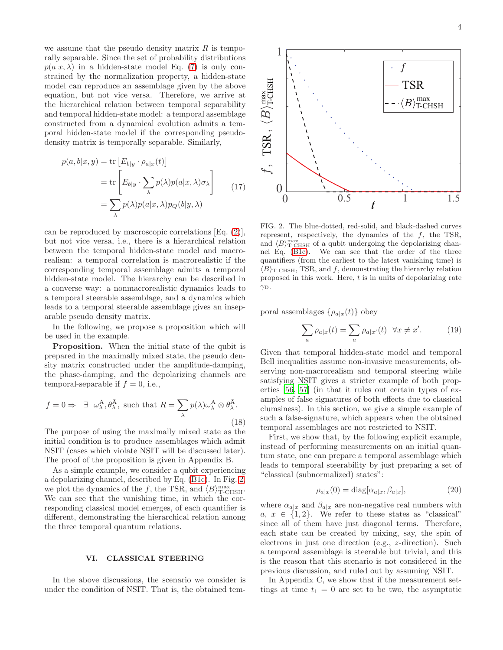we assume that the pseudo density matrix  $R$  is temporally separable. Since the set of probability distributions  $p(a|x,\lambda)$  in a hidden-state model Eq. [\(7\)](#page-1-2) is only constrained by the normalization property, a hidden-state model can reproduce an assemblage given by the above equation, but not vice versa. Therefore, we arrive at the hierarchical relation between temporal separability and temporal hidden-state model: a temporal assemblage constructed from a dynamical evolution admits a temporal hidden-state model if the corresponding pseudodensity matrix is temporally separable. Similarly,

$$
p(a, b|x, y) = \text{tr}\left[E_{b|y} \cdot \rho_{a|x}(t)\right]
$$

$$
= \text{tr}\left[E_{b|y} \cdot \sum_{\lambda} p(\lambda)p(a|x, \lambda)\sigma_{\lambda}\right]
$$

$$
= \sum_{\lambda} p(\lambda)p(a|x, \lambda)p_{Q}(b|y, \lambda)
$$
(17)

can be reproduced by macroscopic correlations [Eq. [\(2\)](#page-1-1)], but not vice versa, i.e., there is a hierarchical relation between the temporal hidden-state model and macrorealism: a temporal correlation is macrorealistic if the corresponding temporal assemblage admits a temporal hidden-state model. The hierarchy can be described in a converse way: a nonmacrorealistic dynamics leads to a temporal steerable assemblage, and a dynamics which leads to a temporal steerable assemblage gives an inseparable pseudo density matrix.

In the following, we propose a proposition which will be used in the example.

Proposition. When the initial state of the qubit is prepared in the maximally mixed state, the pseudo density matrix constructed under the amplitude-damping, the phase-damping, and the depolarizing channels are temporal-separable if  $f = 0$ , i.e.,

<span id="page-3-1"></span>
$$
f = 0 \Rightarrow \exists \omega_{\lambda}^{\mathcal{A}}, \theta_{\lambda}^{\bar{\mathcal{A}}}, \text{ such that } R = \sum_{\lambda} p(\lambda) \omega_{\lambda}^{\mathcal{A}} \otimes \theta_{\lambda}^{\bar{\mathcal{A}}}.
$$
\n(18)

The purpose of using the maximally mixed state as the initial condition is to produce assemblages which admit NSIT (cases which violate NSIT will be discussed later). The proof of the proposition is given in Appendix B.

As a simple example, we consider a qubit experiencing a depolarizing channel, described by Eq. [\(B1c\)](#page-6-0). In Fig. [2,](#page-3-0) we plot the dynamics of the f, the TSR, and  $\langle B \rangle_{\text{T-CHSH}}^{\text{max}}$ . We can see that the vanishing time, in which the corresponding classical model emerges, of each quantifier is different, demonstrating the hierarchical relation among the three temporal quantum relations.

### VI. CLASSICAL STEERING

In the above discussions, the scenario we consider is under the condition of NSIT. That is, the obtained tem-



<span id="page-3-0"></span>FIG. 2. The blue-dotted, red-solid, and black-dashed curves represent, respectively, the dynamics of the  $f$ , the TSR, and  $\langle B \rangle_{\text{T-CHSH}}^{\text{max}}$  of a qubit undergoing the depolarizing channel Eq. [\(B1c\)](#page-6-0). We can see that the order of the three quantifiers (from the earliest to the latest vanishing time) is  $\langle B \rangle_{\text{T-CHSH}}$ , TSR, and f, demonstrating the hierarchy relation proposed in this work. Here,  $t$  is in units of depolarizing rate  $\gamma_D$ .

poral assemblages  $\{\rho_{a|x}(t)\}\$ obey

$$
\sum_{a} \rho_{a|x}(t) = \sum_{a} \rho_{a|x'}(t) \quad \forall x \neq x'. \tag{19}
$$

Given that temporal hidden-state model and temporal Bell inequalities assume non-invasive measurements, observing non-macrorealism and temporal steering while satisfying NSIT gives a stricter example of both properties [\[56](#page-9-6), [57\]](#page-9-7) (in that it rules out certain types of examples of false signatures of both effects due to classical clumsiness). In this section, we give a simple example of such a false-signature, which appears when the obtained temporal assemblages are not restricted to NSIT.

First, we show that, by the following explicit example, instead of performing measurements on an initial quantum state, one can prepare a temporal assemblage which leads to temporal steerability by just preparing a set of "classical (subnormalized) states":

$$
\rho_{a|x}(0) = \text{diag}[\alpha_{a|x}, \beta_{a|x}], \tag{20}
$$

where  $\alpha_{a|x}$  and  $\beta_{a|x}$  are non-negative real numbers with a,  $x \in \{1,2\}$ . We refer to these states as "classical" since all of them have just diagonal terms. Therefore, each state can be created by mixing, say, the spin of electrons in just one direction (e.g., z-direction). Such a temporal assemblage is steerable but trivial, and this is the reason that this scenario is not considered in the previous discussion, and ruled out by assuming NSIT.

In Appendix C, we show that if the measurement settings at time  $t_1 = 0$  are set to be two, the asymptotic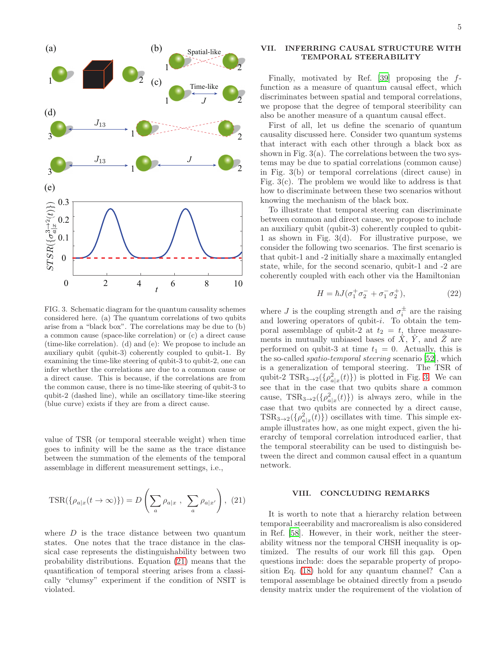

<span id="page-4-1"></span>FIG. 3. Schematic diagram for the quantum causality schemes considered here. (a) The quantum correlations of two qubits arise from a "black box". The correlations may be due to (b) a common cause (space-like correlation) or (c) a direct cause (time-like correlation). (d) and (e): We propose to include an auxiliary qubit (qubit-3) coherently coupled to qubit-1. By examining the time-like steering of qubit-3 to qubit-2, one can infer whether the correlations are due to a common cause or a direct cause. This is because, if the correlations are from the common cause, there is no time-like steering of qubit-3 to qubit-2 (dashed line), while an oscillatory time-like steering (blue curve) exists if they are from a direct cause.

value of TSR (or temporal steerable weight) when time goes to infinity will be the same as the trace distance between the summation of the elements of the temporal assemblage in different measurement settings, i.e.,

<span id="page-4-0"></span>
$$
\text{TSR}(\{\rho_{a|x}(t \to \infty)\}) = D\left(\sum_{a} \rho_{a|x}, \sum_{a} \rho_{a|x'}\right), (21)
$$

where  $D$  is the trace distance between two quantum states. One notes that the trace distance in the classical case represents the distinguishability between two probability distributions. Equation [\(21\)](#page-4-0) means that the quantification of temporal steering arises from a classically "clumsy" experiment if the condition of NSIT is violated.

## VII. INFERRING CAUSAL STRUCTURE WITH TEMPORAL STEERABILITY

Finally, motivated by Ref. [\[39\]](#page-8-12) proposing the ffunction as a measure of quantum causal effect, which discriminates between spatial and temporal correlations, we propose that the degree of temporal steeribility can also be another measure of a quantum causal effect.

First of all, let us define the scenario of quantum causality discussed here. Consider two quantum systems that interact with each other through a black box as shown in Fig.  $3(a)$ . The correlations between the two systems may be due to spatial correlations (common cause) in Fig. 3(b) or temporal correlations (direct cause) in Fig. 3(c). The problem we would like to address is that how to discriminate between these two scenarios without knowing the mechanism of the black box.

To illustrate that temporal steering can discriminate between common and direct cause, we propose to include an auxiliary qubit (qubit-3) coherently coupled to qubit-1 as shown in Fig. 3(d). For illustrative purpose, we consider the following two scenarios. The first scenario is that qubit-1 and -2 initially share a maximally entangled state, while, for the second scenario, qubit-1 and -2 are coherently coupled with each other via the Hamiltonian

$$
H = \hbar J (\sigma_1^+ \sigma_2^- + \sigma_1^- \sigma_2^+), \tag{22}
$$

where *J* is the coupling strength and  $\sigma_i^{\pm}$  are the raising and lowering operators of qubit-i. To obtain the temporal assemblage of qubit-2 at  $t_2 = t$ , three measurements in mutually unbiased bases of  $\hat{X}$ ,  $\hat{Y}$ , and  $\hat{Z}$  are performed on qubit-3 at time  $t_1 = 0$ . Actually, this is the so-called spatio-temporal steering scenario [\[52\]](#page-9-8), which is a generalization of temporal steering. The TSR of qubit-2  $\text{TSR}_{3\to 2}(\{\rho_{a|x}^2(t)\})$  is plotted in Fig. [3.](#page-4-1) We can see that in the case that two qubits share a common cause,  $TSR_{3\rightarrow 2}(\{\rho_{a|x}^2(t)\})$  is always zero, while in the case that two qubits are connected by a direct cause,  $\text{TSR}_{3\to 2}(\{\rho_{a|x}^2(t)\})$  oscillates with time. This simple example illustrates how, as one might expect, given the hierarchy of temporal correlation introduced earlier, that the temporal steerability can be used to distinguish between the direct and common causal effect in a quantum network.

## VIII. CONCLUDING REMARKS

It is worth to note that a hierarchy relation between temporal steerability and macrorealism is also considered in Ref. [\[58\]](#page-9-9). However, in their work, neither the steerability witness nor the temporal CHSH inequality is optimized. The results of our work fill this gap. Open questions include: does the separable property of proposition Eq. [\(18\)](#page-3-1) hold for any quantum channel? Can a temporal assemblage be obtained directly from a pseudo density matrix under the requirement of the violation of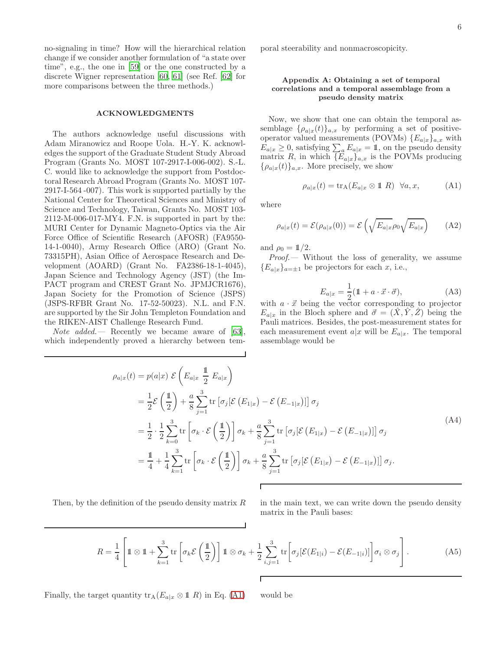no-signaling in time? How will the hierarchical relation change if we consider another formulation of "a state over time", e.g., the one in [\[59\]](#page-9-10) or the one constructed by a discrete Wigner representation [\[60](#page-9-11), [61\]](#page-9-12) (see Ref. [\[62\]](#page-9-13) for more comparisons between the three methods.)

### ACKNOWLEDGMENTS

The authors acknowledge useful discussions with Adam Miranowicz and Roope Uola. H.-Y. K. acknowledges the support of the Graduate Student Study Abroad Program (Grants No. MOST 107-2917-I-006-002). S.-L. C. would like to acknowledge the support from Postdoctoral Research Abroad Program (Grants No. MOST 107- 2917-I-564 -007). This work is supported partially by the National Center for Theoretical Sciences and Ministry of Science and Technology, Taiwan, Grants No. MOST 103- 2112-M-006-017-MY4. F.N. is supported in part by the: MURI Center for Dynamic Magneto-Optics via the Air Force Office of Scientific Research (AFOSR) (FA9550- 14-1-0040), Army Research Office (ARO) (Grant No. 73315PH), Asian Office of Aerospace Research and Development (AOARD) (Grant No. FA2386-18-1-4045), Japan Science and Technology Agency (JST) (the Im-PACT program and CREST Grant No. JPMJCR1676), Japan Society for the Promotion of Science (JSPS) (JSPS-RFBR Grant No. 17-52-50023). N.L. and F.N. are supported by the Sir John Templeton Foundation and the RIKEN-AIST Challenge Research Fund.

*Note added.* – Recently we became aware of [\[63\]](#page-9-14), which independently proved a hierarchy between temporal steerability and nonmacroscopicity.

# Appendix A: Obtaining a set of temporal correlations and a temporal assemblage from a pseudo density matrix

Now, we show that one can obtain the temporal assemblage  $\{\rho_{a|x}(t)\}_{a,x}$  by performing a set of positiveoperator valued measurements (POVMs)  ${E_{a|x}}_{a,x}$  with  $E_{a|x} \geq 0$ , satisfying  $\sum_{a} E_{a|x} = 1$ , on the pseudo density matrix R, in which  $\{E_{a|x}\}_{a,x}$  is the POVMs producing  ${\rho_{a|x}(t)}_{a,x}$ . More precisely, we show

<span id="page-5-0"></span>
$$
\rho_{a|x}(t) = \text{tr}_{A}(E_{a|x} \otimes \mathbb{1} \ R) \ \forall a, x,
$$
 (A1)

where

$$
\rho_{a|x}(t) = \mathcal{E}(\rho_{a|x}(0)) = \mathcal{E}\left(\sqrt{E_{a|x}}\rho_0\sqrt{E_{a|x}}\right) \tag{A2}
$$

and  $\rho_0 = \mathbb{1}/2$ .

Proof.— Without the loss of generality, we assume  ${E_{a|x}}_{a=\pm 1}$  be projectors for each x, i.e.,

$$
E_{a|x} = \frac{1}{2}(\mathbb{1} + a \cdot \vec{x} \cdot \vec{\sigma}), \tag{A3}
$$

with  $a \cdot \vec{x}$  being the vector corresponding to projector  $E_{a|x}$  in the Bloch sphere and  $\vec{\sigma} = (\hat{X}, \hat{Y}, \hat{Z})$  being the Pauli matrices. Besides, the post-measurement states for each measurement event  $a|x$  will be  $E_{a|x}$ . The temporal assemblage would be

<span id="page-5-1"></span>
$$
\rho_{a|x}(t) = p(a|x) \mathcal{E}\left(E_{a|x} \frac{1}{2} E_{a|x}\right)
$$
  
\n
$$
= \frac{1}{2} \mathcal{E}\left(\frac{1}{2}\right) + \frac{a}{8} \sum_{j=1}^{3} \text{tr}\left[\sigma_{j}[\mathcal{E}\left(E_{1|x}\right) - \mathcal{E}\left(E_{-1|x}\right)]\right] \sigma_{j}
$$
  
\n
$$
= \frac{1}{2} \cdot \frac{1}{2} \sum_{k=0}^{3} \text{tr}\left[\sigma_{k} \cdot \mathcal{E}\left(\frac{1}{2}\right)\right] \sigma_{k} + \frac{a}{8} \sum_{j=1}^{3} \text{tr}\left[\sigma_{j}[\mathcal{E}\left(E_{1|x}\right) - \mathcal{E}\left(E_{-1|x}\right)]\right] \sigma_{j}
$$
  
\n
$$
= \frac{1}{4} + \frac{1}{4} \sum_{k=1}^{3} \text{tr}\left[\sigma_{k} \cdot \mathcal{E}\left(\frac{1}{2}\right)\right] \sigma_{k} + \frac{a}{8} \sum_{j=1}^{3} \text{tr}\left[\sigma_{j}[\mathcal{E}\left(E_{1|x}\right) - \mathcal{E}\left(E_{-1|x}\right)]\right] \sigma_{j}.
$$
\n(A4)

Then, by the definition of the pseudo density matrix  $R$  in the main text, we can write down the pseudo density matrix in the Pauli bases:

$$
R = \frac{1}{4} \left[ \mathbb{1} \otimes \mathbb{1} + \sum_{k=1}^{3} \text{tr} \left[ \sigma_k \mathcal{E} \left( \frac{\mathbb{1}}{2} \right) \right] \mathbb{1} \otimes \sigma_k + \frac{1}{2} \sum_{i,j=1}^{3} \text{tr} \left[ \sigma_j [\mathcal{E}(E_{1|i}) - \mathcal{E}(E_{-1|i})] \right] \sigma_i \otimes \sigma_j \right]. \tag{A5}
$$

Finally, the target quantity  $\text{tr}_A(E_{a|x} \otimes \mathbb{1} R)$  in Eq. [\(A1\)](#page-5-0) would be

Г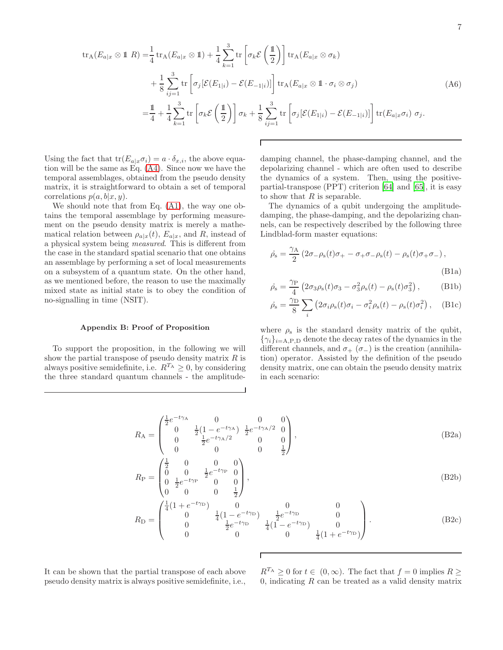$$
\operatorname{tr}_{A}(E_{a|x} \otimes \mathbb{1} \mid R) = \frac{1}{4} \operatorname{tr}_{A}(E_{a|x} \otimes \mathbb{1}) + \frac{1}{4} \sum_{k=1}^{3} \operatorname{tr} \left[ \sigma_{k} \mathcal{E} \left( \frac{\mathbb{1}}{2} \right) \right] \operatorname{tr}_{A}(E_{a|x} \otimes \sigma_{k})
$$
  
+  $\frac{1}{8} \sum_{ij=1}^{3} \operatorname{tr} \left[ \sigma_{j} [\mathcal{E}(E_{1|i}) - \mathcal{E}(E_{-1|i})] \right] \operatorname{tr}_{A}(E_{a|x} \otimes \mathbb{1} \cdot \sigma_{i} \otimes \sigma_{j})$   
=  $\frac{1}{4} + \frac{1}{4} \sum_{k=1}^{3} \operatorname{tr} \left[ \sigma_{k} \mathcal{E} \left( \frac{\mathbb{1}}{2} \right) \right] \sigma_{k} + \frac{1}{8} \sum_{ij=1}^{3} \operatorname{tr} \left[ \sigma_{j} [\mathcal{E}(E_{1|i}) - \mathcal{E}(E_{-1|i})] \right] \operatorname{tr}(E_{a|x} \sigma_{i}) \sigma_{j}.$  (A6)

Г

Using the fact that  $tr(E_{a|x}\sigma_i) = a \cdot \delta_{x,i}$ , the above equation will be the same as Eq. [\(A4\)](#page-5-1). Since now we have the temporal assemblages, obtained from the pseudo density matrix, it is straightforward to obtain a set of temporal correlations  $p(a, b|x, y)$ .

We should note that from Eq. [\(A1\)](#page-5-0), the way one obtains the temporal assemblage by performing measurement on the pseudo density matrix is merely a mathematical relation between  $\rho_{a|x}(t)$ ,  $E_{a|x}$ , and R, instead of a physical system being measured. This is different from the case in the standard spatial scenario that one obtains an assemblage by performing a set of local measurements on a subsystem of a quantum state. On the other hand, as we mentioned before, the reason to use the maximally mixed state as initial state is to obey the condition of no-signalling in time (NSIT).

#### Appendix B: Proof of Proposition

To support the proposition, in the following we will show the partial transpose of pseudo density matrix  $R$  is always positive semidefinite, i.e.  $R^{T_A} \geq 0$ , by considering the three standard quantum channels - the amplitudedamping channel, the phase-damping channel, and the depolarizing channel - which are often used to describe the dynamics of a system. Then, using the positivepartial-transpose (PPT) criterion [\[64\]](#page-9-15) and [\[65](#page-9-16)], it is easy to show that  $R$  is separable.

The dynamics of a qubit undergoing the amplitudedamping, the phase-damping, and the depolarizing channels, can be respectively described by the following three Lindblad-form master equations:

$$
\dot{\rho}_{s} = \frac{\gamma_{A}}{2} \left( 2\sigma_{-\rho_{s}}(t)\sigma_{+} - \sigma_{+}\sigma_{-\rho_{s}}(t) - \rho_{s}(t)\sigma_{+}\sigma_{-} \right),
$$
\n(B1a)

<span id="page-6-0"></span>
$$
\dot{\rho}_{s} = \frac{\gamma_{\rm P}}{4} \left( 2\sigma_3 \rho_{\rm s}(t)\sigma_3 - \sigma_3^2 \rho_{\rm s}(t) - \rho_{\rm s}(t)\sigma_3^2 \right), \tag{B1b}
$$

$$
\dot{\rho}_{\rm s} = \frac{\gamma_{\rm D}}{8} \sum_{i} \left( 2\sigma_{i}\rho_{\rm s}(t)\sigma_{i} - \sigma_{i}^{2}\rho_{\rm s}(t) - \rho_{\rm s}(t)\sigma_{i}^{2} \right), \quad \text{(B1c)}
$$

where  $\rho_s$  is the standard density matrix of the qubit,  $\{\gamma_i\}_{i=A,P,D}$  denote the decay rates of the dynamics in the different channels, and  $\sigma_{+}$  ( $\sigma_{-}$ ) is the creation (annihilation) operator. Assisted by the definition of the pseudo density matrix, one can obtain the pseudo density matrix in each scenario:

$$
R_{\rm A} = \begin{pmatrix} \frac{1}{2} e^{-t\gamma_{\rm A}} & 0 & 0 & 0\\ 0 & \frac{1}{2} (1 - e^{-t\gamma_{\rm A}}) & \frac{1}{2} e^{-t\gamma_{\rm A}/2} & 0\\ 0 & \frac{1}{2} e^{-t\gamma_{\rm A}/2} & 0 & 0\\ 0 & 0 & 0 & \frac{1}{2} \end{pmatrix},
$$
(B2a)

$$
R_{\rm P} = \begin{pmatrix} \frac{1}{2} & 0 & 0 & 0\\ 0 & 0 & \frac{1}{2}e^{-t\gamma_{\rm P}} & 0\\ 0 & \frac{1}{2}e^{-t\gamma_{\rm P}} & 0 & 0\\ 0 & 0 & 0 & \frac{1}{2} \end{pmatrix},
$$
(B2b)

$$
R_{\rm D} = \begin{pmatrix} \frac{1}{4} (1 + e^{-t\gamma_{\rm D}}) & 0 & 0 & 0\\ 0 & \frac{1}{4} (1 - e^{-t\gamma_{\rm D}}) & \frac{1}{2} e^{-t\gamma_{\rm D}} & 0\\ 0 & \frac{1}{2} e^{-t\gamma_{\rm D}} & \frac{1}{4} (1 - e^{-t\gamma_{\rm D}}) & 0\\ 0 & 0 & 0 & \frac{1}{4} (1 + e^{-t\gamma_{\rm D}}) \end{pmatrix}.
$$
 (B2c)

It can be shown that the partial transpose of each above pseudo density matrix is always positive semidefinite, i.e.,

 $R^{T_A} \geq 0$  for  $t \in (0,\infty)$ . The fact that  $f = 0$  implies  $R \geq 0$ 0, indicating  $R$  can be treated as a valid density matrix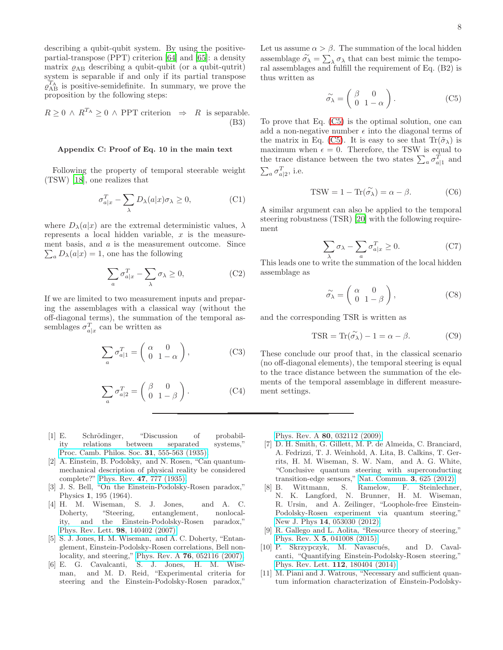describing a qubit-qubit system. By using the positivepartial-transpose (PPT) criterion [\[64\]](#page-9-15) and [\[65\]](#page-9-16): a density matrix  $\rho_{AB}$  describing a qubit-qubit (or a qubit-qutrit) system is separable if and only if its partial transpose  $\varrho_{AB}^{T_A}$  is positive-semidefinite. In summary, we prove the proposition by the following steps:

$$
R \ge 0 \land R^{T_A} \ge 0 \land \text{PPT criterion} \Rightarrow R \text{ is separable.}
$$
\n(B3)

#### Appendix C: Proof of Eq. 10 in the main text

Following the property of temporal steerable weight (TSW) [\[18\]](#page-8-21), one realizes that

$$
\sigma_{a|x}^T - \sum_{\lambda} D_{\lambda}(a|x)\sigma_{\lambda} \ge 0, \tag{C1}
$$

where  $D_{\lambda}(a|x)$  are the extremal deterministic values,  $\lambda$ represents a local hidden variable,  $x$  is the measurement basis, and a is the measurement outcome. Since  $\sum_a D_{\lambda}(a|x) = 1$ , one has the following

$$
\sum_{a} \sigma_{a|x}^{T} - \sum_{\lambda} \sigma_{\lambda} \ge 0,
$$
 (C2)

If we are limited to two measurement inputs and preparing the assemblages with a classical way (without the off-diagonal terms), the summation of the temporal assemblages  $\sigma_{a|x}^T$  can be written as

$$
\sum_{a} \sigma_{a|1}^T = \begin{pmatrix} \alpha & 0\\ 0 & 1 - \alpha \end{pmatrix},
$$
 (C3)

$$
\sum_{a} \sigma_{a|2}^T = \begin{pmatrix} \beta & 0\\ 0 & 1 - \beta \end{pmatrix}.
$$
 (C4)

- <span id="page-7-0"></span>[1] E. Schrödinger, "Discussion of probability relations between separated systems," [Proc. Camb. Philos. Soc.](http://dx.doi.org/10.1017/S0305004100013554) 31, 555-563 (1935).
- <span id="page-7-1"></span>[2] A. Einstein, B. Podolsky, and N. Rosen, "Can quantummechanical description of physical reality be considered complete?" Phys. Rev. 47[, 777 \(1935\).](http://dx.doi.org/10.1103/PhysRev.47.777)
- <span id="page-7-2"></span>[3] J. S. Bell, "On the Einstein-Podolsky-Rosen paradox," Physics 1, 195 (1964).
- <span id="page-7-3"></span>[4] H. M. Wiseman, S. J. Jones, and A. C. Doherty, "Steering, entanglement, nonlocality, and the Einstein-Podolsky-Rosen paradox," [Phys. Rev. Lett.](http://dx.doi.org/10.1103/PhysRevLett.98.140402) 98, 140402 (2007).
- [5] S. J. Jones, H. M. Wiseman, and A. C. Doherty, "Entanglement, Einstein-Podolsky-Rosen correlations, Bell nonlocality, and steering," Phys. Rev. A 76[, 052116 \(2007\).](http://dx.doi.org/10.1103/PhysRevA.76.052116)
- <span id="page-7-5"></span>[6] E. G. Cavalcanti, S. J. Jones, H. M. Wiseman, and M. D. Reid, "Experimental criteria for steering and the Einstein-Podolsky-Rosen paradox,"

Let us assume  $\alpha > \beta$ . The summation of the local hidden assemblage  $\widetilde{\sigma}_{\lambda} = \sum_{\lambda} \sigma_{\lambda}$  that can best mimic the temporal assemblages and fulfill the requirement of Eq. (B2) is thus written as

<span id="page-7-8"></span>
$$
\widetilde{\sigma}_{\lambda} = \begin{pmatrix} \beta & 0 \\ 0 & 1 - \alpha \end{pmatrix} . \tag{C5}
$$

To prove that Eq. [\(C5\)](#page-7-8) is the optimal solution, one can add a non-negative number  $\epsilon$  into the diagonal terms of the matrix in Eq. [\(C5\)](#page-7-8). It is easy to see that  $\text{Tr}(\tilde{\sigma}_{\lambda})$  is maximum when  $\epsilon = 0$ . Therefore, the TSW is equal to the trace distance between the two states  $\sum_a \sigma_{a|1}^T$  and  $\sum_a \sigma_{a|2}^T$ , i.e.

$$
TSW = 1 - \text{Tr}(\widetilde{\sigma_{\lambda}}) = \alpha - \beta.
$$
 (C6)

A similar argument can also be applied to the temporal steering robustness (TSR) [\[20](#page-8-22)] with the following requirement

$$
\sum_{\lambda} \sigma_{\lambda} - \sum_{a} \sigma_{a|x}^T \ge 0.
$$
 (C7)

This leads one to write the summation of the local hidden assemblage as

$$
\widetilde{\sigma}_{\lambda} = \begin{pmatrix} \alpha & 0 \\ 0 & 1 - \beta \end{pmatrix}, \tag{C8}
$$

and the corresponding TSR is written as

$$
\text{TSR} = \text{Tr}(\widetilde{\sigma_{\lambda}}) - 1 = \alpha - \beta. \tag{C9}
$$

These conclude our proof that, in the classical scenario (no off-diagonal elements), the temporal steering is equal to the trace distance between the summation of the elements of the temporal assemblage in different measurement settings.

Phys. Rev. A 80[, 032112 \(2009\).](http://dx.doi.org/10.1103/PhysRevA.80.032112)

- [7] D. H. Smith, G. Gillett, M. P. de Almeida, C. Branciard, A. Fedrizzi, T. J. Weinhold, A. Lita, B. Calkins, T. Gerrits, H. M. Wiseman, S. W. Nam, and A. G. White, "Conclusive quantum steering with superconducting transition-edge sensors," [Nat. Commun.](http://dx.doi.org/10.1038/ncomms1628) 3, 625 (2012).
- <span id="page-7-4"></span>[8] B. Wittmann, S. Ramelow, F. Steinlechner, N. K. Langford, N. Brunner, H. M. Wiseman, R. Ursin, and A. Zeilinger, "Loophole-free Einstein-Podolsky-Rosen experiment via quantum steering," New J. Phys 14[, 053030 \(2012\).](http://stacks.iop.org/1367-2630/14/i=5/a=053030)
- <span id="page-7-6"></span>[9] R. Gallego and L. Aolita, "Resource theory of steering," Phys. Rev. X 5[, 041008 \(2015\).](http://dx.doi.org/10.1103/PhysRevX.5.041008)
- <span id="page-7-7"></span>[10] P. Skrzypczyk, M. Navascués, and D. Cavalcanti, "Quantifying Einstein-Podolsky-Rosen steering," [Phys. Rev. Lett.](http://dx.doi.org/10.1103/PhysRevLett.112.180404) 112, 180404 (2014).
- [11] M. Piani and J. Watrous, "Necessary and sufficient quantum information characterization of Einstein-Podolsky-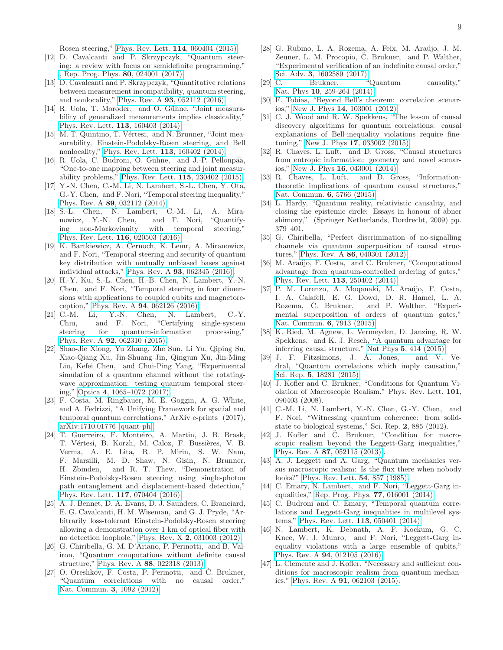Rosen steering," [Phys. Rev. Lett.](http://dx.doi.org/10.1103/PhysRevLett.114.060404) 114, 060404 (2015).

- [12] D. Cavalcanti and P. Skrzypczyk, "Quantum steering: a review with focus on semidefinite programming," [, Rep. Prog. Phys.](http://stacks.iop.org/0034-4885/80/i=2/a=024001) 80, 024001 (2017).
- [13] D. Cavalcanti and P. Skrzypczyk, "Quantitative relations between measurement incompatibility, quantum steering, and nonlocality," Phys. Rev. A 93[, 052112 \(2016\).](http://dx.doi.org/10.1103/PhysRevA.93.052112)
- [14] R. Uola, T. Moroder, and O. Gühne, "Joint measurability of generalized measurements implies classicality," [Phys. Rev. Lett.](http://dx.doi.org/10.1103/PhysRevLett.113.160403) 113, 160403 (2014).
- [15] M. T. Quintino, T. Vértesi, and N. Brunner, "Joint measurability, Einstein-Podolsky-Rosen steering, and Bell nonlocality," [Phys. Rev. Lett.](http://dx.doi.org/10.1103/PhysRevLett.113.160402) 113, 160402 (2014).
- [16] R. Uola, C. Budroni, O. Gühne, and J.-P. Pellonpää, "One-to-one mapping between steering and joint measurability problems," [Phys. Rev. Lett.](http://dx.doi.org/10.1103/PhysRevLett.115.230402) 115, 230402 (2015).
- <span id="page-8-20"></span>[17] Y.-N. Chen, C.-M. Li, N. Lambert, S.-L. Chen, Y. Ota, G.-Y. Chen, and F. Nori, "Temporal steering inequality," Phys. Rev. A 89[, 032112 \(2014\).](http://dx.doi.org/10.1103/PhysRevA.89.032112)
- <span id="page-8-21"></span>[18] S.-L. Chen, N. Lambert, C.-M. Li, A. Miranowicz, Y.-N. Chen, and F. Nori, "Quantifying non-Markovianity with temporal steering," [Phys. Rev. Lett.](http://dx.doi.org/ 10.1103/PhysRevLett.116.020503) 116, 020503 (2016).
- $[19]$  K. Bartkiewicz, A. Cernoch, K. Lemr, A. Miranowicz, and F. Nori, "Temporal steering and security of quantum key distribution with mutually unbiased bases against individual attacks," Phys. Rev. A 93[, 062345 \(2016\).](http://dx.doi.org/10.1103/PhysRevA.93.062345)
- <span id="page-8-22"></span>[20] H.-Y. Ku, S.-L. Chen, H.-B. Chen, N. Lambert, Y.-N. Chen, and F. Nori, "Temporal steering in four dimensions with applications to coupled qubits and magnetoreception," Phys. Rev. A 94[, 062126 \(2016\).](http://dx.doi.org/ 10.1103/PhysRevA.94.062126)
- [21] C.-M. Li, Y.-N. Chen, N. Lambert, C.-Y.<br>Chiu, and F. Nori, "Certifying single-system" Chiu, and F. Nori, "Certifying single-system steering for quantum-information processing," Phys. Rev. A 92[, 062310 \(2015\).](http://dx.doi.org/ 10.1103/PhysRevA.92.062310)
- [22] Shao-Jie Xiong, Yu Zhang, Zhe Sun, Li Yu, Qiping Su, Xiao-Qiang Xu, Jin-Shuang Jin, Qingjun Xu, Jin-Ming Liu, Kefei Chen, and Chui-Ping Yang, "Experimental simulation of a quantum channel without the rotatingwave approximation: testing quantum temporal steering," Optica 4[, 1065–1072 \(2017\).](http://dx.doi.org/ 10.1364/OPTICA.4.001065)
- <span id="page-8-0"></span>[23] F. Costa, M. Ringbauer, M. E. Goggin, A. G. White, and A. Fedrizzi, "A Unifying Framework for spatial and temporal quantum correlations," ArXiv e-prints (2017), [arXiv:1710.01776 \[quant-ph\].](http://arxiv.org/abs/1710.01776)
- <span id="page-8-1"></span>[24] T. Guerreiro, F. Monteiro, A. Martin, J. B. Brask, T. Vértesi, B. Korzh, M. Caloz, F. Bussières, V. B. Verma, A. E. Lita, R. P. Mirin, S. W. Nam, F. Marsilli, M. D. Shaw, N. Gisin, N. Brunner, H. Zbinden, and R. T. Thew, "Demonstration of Einstein-Podolsky-Rosen steering using single-photon path entanglement and displacement-based detection," [Phys. Rev. Lett.](http://dx.doi.org/ 10.1103/PhysRevLett.117.070404) 117, 070404 (2016).
- <span id="page-8-2"></span>[25] A. J. Bennet, D. A. Evans, D. J. Saunders, C. Branciard, E. G. Cavalcanti, H. M. Wiseman, and G. J. Pryde, "Arbitrarily loss-tolerant Einstein-Podolsky-Rosen steering allowing a demonstration over 1 km of optical fiber with no detection loophole," Phys. Rev. X 2[, 031003 \(2012\).](http://dx.doi.org/ 10.1103/PhysRevX.2.031003)
- <span id="page-8-3"></span>[26] G. Chiribella, G. M. D'Ariano, P. Perinotti, and B. Valiron, "Quantum computations without definite causal structure," Phys. Rev. A 88[, 022318 \(2013\).](http://dx.doi.org/10.1103/PhysRevA.88.022318)
- <span id="page-8-4"></span>[27] O. Oreshkov, F. Costa, P. Perinotti, and Č. Brukner, "Quantum correlations with no causal order," [Nat. Commun.](http://dx.doi.org/10.1038/ncomms2076) 3, 1092 (2012).
- <span id="page-8-5"></span>[28] G. Rubino, L. A. Rozema, A. Feix, M. Araújo, J. M. Zeuner, L. M. Procopio, C. Brukner, and P. Walther, "Experimental verification of an indefinite causal order," Sci. Adv. 3[, 1602589 \(2017\).](http://dx.doi.org/ 10.1126/sciadv.1602589)
- <span id="page-8-6"></span>[29] C. Brukner, "Quantum causality," Nat. Phys 10[, 259-264 \(2014\).](http://dx.doi.org/10.1038/nphys2930)
- <span id="page-8-7"></span>[30] F. Tobias, "Beyond Bell's theorem: correlation scenarios," New J. Phys 14[, 103001 \(2012\).](http://stacks.iop.org/1367-2630/14/i=10/a=103001)
- [31] C. J. Wood and R. W. Spekkens, "The lesson of causal discovery algorithms for quantum correlations: causal explanations of Bell-inequality violations require finetuning," New J. Phys 17[, 033002 \(2015\).](http://stacks.iop.org/1367-2630/17/i=3/a=033002)
- [32] R. Chaves, L. Luft, and D. Gross, "Causal structures from entropic information: geometry and novel scenarios," New J. Phys 16[, 043001 \(2014\).](http://stacks.iop.org/1367-2630/16/i=4/a=043001)
- <span id="page-8-8"></span>[33] R. Chaves, L. Luft, and D. Gross, "Informationtheoretic implications of quantum causal structures," [Nat. Commun.](http://dx.doi.org/10.1038/ncomms6766) 6, 5766 (2015).
- <span id="page-8-9"></span>[34] L. Hardy, "Quantum reality, relativistic causality, and closing the epistemic circle: Essays in honour of abner shimony," (Springer Netherlands, Dordrecht, 2009) pp. 379–401.
- [35] G. Chiribella, "Perfect discrimination of no-signalling channels via quantum superposition of causal structures," Phys. Rev. A 86[, 040301 \(2012\).](http://dx.doi.org/10.1103/PhysRevA.86.040301)
- [36] M. Araújo, F. Costa, and Č. Brukner, "Computational advantage from quantum-controlled ordering of gates," [Phys. Rev. Lett.](http://dx.doi.org/10.1103/PhysRevLett.113.250402) 113, 250402 (2014).
- <span id="page-8-10"></span>[37] P. M. Lorenzo, A. Moganaki, M. Araújo, F. Costa, I. A. Calafell, E. G. Dowd, D. R. Hamel, L. A. and P. Walther, "Experimental superposition of orders of quantum gates," [Nat. Commun.](http://dx.doi.org/10.1038/ncomms8913) 6, 7913 (2015).
- <span id="page-8-11"></span>[38] K. Ried, M. Agnew, L. Vermeyden, D. Janzing, R. W. Spekkens, and K. J. Resch, "A quantum advantage for inferring causal structure," Nat Phys 5[, 414 \(2015\).](http://dx.doi.org/ 10.1038/nphys3266)
- <span id="page-8-12"></span>[39] J. F. Fitzsimons, J. A. Jones, and V. Vedral, "Quantum correlations which imply causation," Sci. Rep. 5[, 18281 \(2015\).](http://dx.doi.org/10.1038/srep18281)
- <span id="page-8-13"></span>[40] J. Kofler and Č. Brukner, "Conditions for Quantum Violation of Macroscopic Realism," Phys. Rev. Lett. 101, 090403 (2008).
- [41] C.-M. Li, N. Lambert, Y.-N. Chen, G.-Y. Chen, and F. Nori, "Witnessing quantum coherence: from solidstate to biological systems," Sci. Rep. 2, 885 (2012).
- <span id="page-8-14"></span>[42] J. Kofler and Č. Brukner, "Condition for macroscopic realism beyond the Leggett-Garg inequalities," Phys. Rev. A 87[, 052115 \(2013\),](http://dx.doi.org/10.1103/PhysRevA.87.052115).
- <span id="page-8-15"></span>[43] A. J. Leggett and A. Garg, "Quantum mechanics versus macroscopic realism: Is the flux there when nobody looks?" [Phys. Rev. Lett.](http://dx.doi.org/10.1103/PhysRevLett.54.857) 54, 857 (1985).
- <span id="page-8-16"></span>[44] C. Emary, N. Lambert, and F. Nori, "Leggett-Garg inequalities," [Rep. Prog. Phys.](http://dx.doi.org/10.1088/0034-4885/77/1/016001) 77, 016001 (2014).
- <span id="page-8-17"></span>[45] C. Budroni and C. Emary, "Temporal quantum correlations and Leggett-Garg inequalities in multilevel systems," [Phys. Rev. Lett.](http://dx.doi.org/10.1103/PhysRevLett.113.050401) 113, 050401 (2014).
- <span id="page-8-18"></span>[46] N. Lambert, K. Debnath, A. F. Kockum, G. C. Knee, W. J. Munro, and F. Nori, "Leggett-Garg inequality violations with a large ensemble of qubits," Phys. Rev. A 94[, 012105 \(2016\).](http://dx.doi.org/ 10.1103/PhysRevA.94.012105)
- <span id="page-8-19"></span>[47] L. Clemente and J. Kofler, "Necessary and sufficient conditions for macroscopic realism from quantum mechanics," Phys. Rev. A 91[, 062103 \(2015\).](http://dx.doi.org/10.1103/PhysRevA.91.062103)